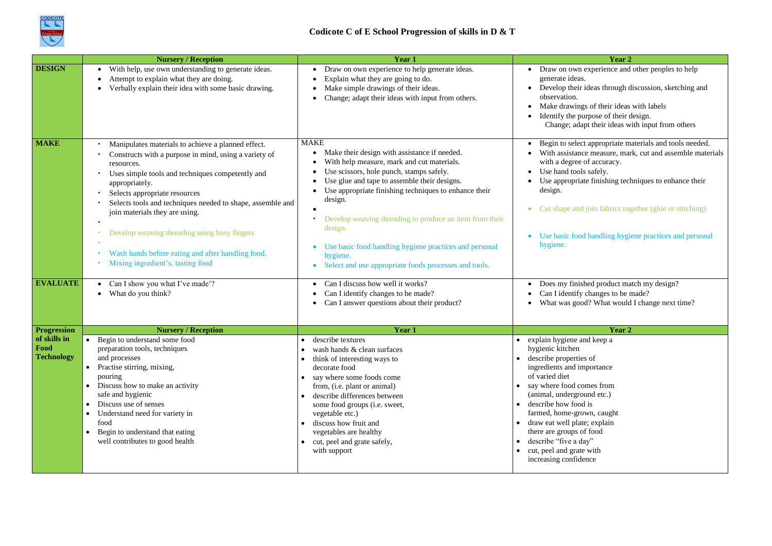

|                                           | <b>Nursery / Reception</b>                                                                                                                                                                                                                                                                                                                                                                                                                                                                                                                                                   | <b>Year 1</b>                                                                                                                                                                                                                                                                                                                                                                                                                                                                                                                                                                                                        | Year 2                                                                                                                                                                                                                                                                                                                                                                                                                                                                                                                                          |
|-------------------------------------------|------------------------------------------------------------------------------------------------------------------------------------------------------------------------------------------------------------------------------------------------------------------------------------------------------------------------------------------------------------------------------------------------------------------------------------------------------------------------------------------------------------------------------------------------------------------------------|----------------------------------------------------------------------------------------------------------------------------------------------------------------------------------------------------------------------------------------------------------------------------------------------------------------------------------------------------------------------------------------------------------------------------------------------------------------------------------------------------------------------------------------------------------------------------------------------------------------------|-------------------------------------------------------------------------------------------------------------------------------------------------------------------------------------------------------------------------------------------------------------------------------------------------------------------------------------------------------------------------------------------------------------------------------------------------------------------------------------------------------------------------------------------------|
| <b>DESIGN</b>                             | With help, use own understanding to generate ideas.<br>$\bullet$<br>Attempt to explain what they are doing.<br>Verbally explain their idea with some basic drawing.                                                                                                                                                                                                                                                                                                                                                                                                          | Draw on own experience to help generate ideas.<br>$\bullet$<br>Explain what they are going to do.<br>Make simple drawings of their ideas.<br>Change; adapt their ideas with input from others.                                                                                                                                                                                                                                                                                                                                                                                                                       | Draw on own experience and other peoples to help<br>generate ideas.<br>Develop their ideas through discussion, sketching and<br>observation.<br>Make drawings of their ideas with labels<br>Identify the purpose of their design.<br>Change; adapt their ideas with input from others                                                                                                                                                                                                                                                           |
| <b>MAKE</b><br><b>EVALUATE</b>            | Manipulates materials to achieve a planned effect.<br>Constructs with a purpose in mind, using a variety of<br>resources.<br>Uses simple tools and techniques competently and<br>appropriately.<br>Selects appropriate resources<br>Selects tools and techniques needed to shape, assemble and<br>join materials they are using.<br>Develop weaving threading using busy fingers<br>$\bullet$<br>Wash hands before eating and after handling food.<br>$\bullet$<br>Mixing ingredient's, tasting food<br>$\bullet$ .<br>Can I show you what I've made'?<br>What do you think? | <b>MAKE</b><br>Make their design with assistance if needed.<br>With help measure, mark and cut materials.<br>Use scissors, hole punch, stamps safely.<br>Use glue and tape to assemble their designs.<br>Use appropriate finishing techniques to enhance their<br>design.<br>Develop weaving threading to produce an item from their<br>design.<br>Use basic food handling hygiene practices and personal<br>hygiene.<br>Select and use appropriate foods processes and tools.<br>Can I discuss how well it works?<br>Can I identify changes to be made?<br>Can I answer questions about their product?<br>$\bullet$ | Begin to select appropriate materials and tools needed.<br>With assistance measure, mark, cut and assemble materials<br>with a degree of accuracy.<br>Use hand tools safely.<br>Use appropriate finishing techniques to enhance their<br>design.<br>Cut shape and join fabrics together (glue or stitching)<br>$\bullet$<br>Use basic food handling hygiene practices and personal<br>hygiene.<br>Does my finished product match my design?<br>Can I identify changes to be made?<br>$\bullet$<br>What was good? What would I change next time? |
| <b>Progression</b>                        | <b>Nursery / Reception</b>                                                                                                                                                                                                                                                                                                                                                                                                                                                                                                                                                   | Year 1                                                                                                                                                                                                                                                                                                                                                                                                                                                                                                                                                                                                               | Year 2                                                                                                                                                                                                                                                                                                                                                                                                                                                                                                                                          |
| of skills in<br>Food<br><b>Technology</b> | Begin to understand some food<br>$\bullet$<br>preparation tools, techniques<br>and processes<br>Practise stirring, mixing,<br>$\bullet$<br>pouring<br>Discuss how to make an activity<br>safe and hygienic<br>Discuss use of senses<br>$\bullet$<br>Understand need for variety in<br>$\bullet$<br>food<br>Begin to understand that eating<br>well contributes to good health                                                                                                                                                                                                | describe textures<br>$\bullet$<br>$\bullet$ wash hands & clean surfaces<br>• think of interesting ways to<br>decorate food<br>• say where some foods come<br>from, (i.e. plant or animal)<br>describe differences between<br>some food groups (i.e. sweet,<br>vegetable etc.)<br>discuss how fruit and<br>vegetables are healthy<br>• cut, peel and grate safely,<br>with support                                                                                                                                                                                                                                    | explain hygiene and keep a<br>$\bullet$<br>hygienic kitchen<br>describe properties of<br>$\bullet$<br>ingredients and importance<br>of varied diet<br>say where food comes from<br>(animal, underground etc.)<br>describe how food is<br>$\bullet$<br>farmed, home-grown, caught<br>draw eat well plate; explain<br>there are groups of food<br>describe "five a day"<br>cut, peel and grate with<br>increasing confidence                                                                                                                      |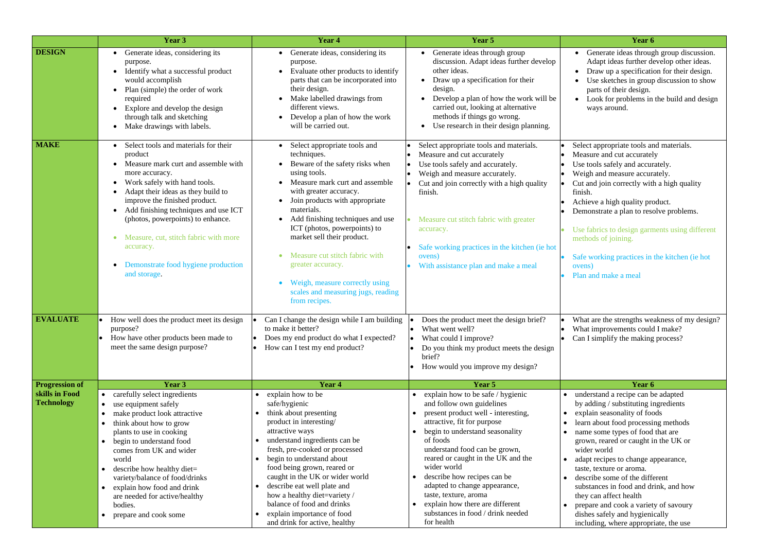|                                     | Year 3                                                                                                                                                                                                                                                                                                                                                                                                                              | Year 4                                                                                                                                                                                                                                                                                                                                                                                                                                                         | Year 5                                                                                                                                                                                                                                                                                                                                                                                                                                                   | Year 6                                                                                                                                                                                                                                                                                                                                                                                                                                                                                                                                   |
|-------------------------------------|-------------------------------------------------------------------------------------------------------------------------------------------------------------------------------------------------------------------------------------------------------------------------------------------------------------------------------------------------------------------------------------------------------------------------------------|----------------------------------------------------------------------------------------------------------------------------------------------------------------------------------------------------------------------------------------------------------------------------------------------------------------------------------------------------------------------------------------------------------------------------------------------------------------|----------------------------------------------------------------------------------------------------------------------------------------------------------------------------------------------------------------------------------------------------------------------------------------------------------------------------------------------------------------------------------------------------------------------------------------------------------|------------------------------------------------------------------------------------------------------------------------------------------------------------------------------------------------------------------------------------------------------------------------------------------------------------------------------------------------------------------------------------------------------------------------------------------------------------------------------------------------------------------------------------------|
| <b>DESIGN</b>                       | Generate ideas, considering its<br>purpose.<br>Identify what a successful product<br>would accomplish<br>Plan (simple) the order of work<br>required<br>Explore and develop the design<br>through talk and sketching<br>Make drawings with labels.                                                                                                                                                                                  | • Generate ideas, considering its<br>purpose.<br>Evaluate other products to identify<br>parts that can be incorporated into<br>their design.<br>Make labelled drawings from<br>different views.<br>Develop a plan of how the work<br>will be carried out.                                                                                                                                                                                                      | Generate ideas through group<br>discussion. Adapt ideas further develop<br>other ideas.<br>Draw up a specification for their<br>$\bullet$<br>design.<br>Develop a plan of how the work will be<br>carried out, looking at alternative<br>methods if things go wrong.<br>Use research in their design planning.                                                                                                                                           | • Generate ideas through group discussion.<br>Adapt ideas further develop other ideas.<br>Draw up a specification for their design.<br>Use sketches in group discussion to show<br>parts of their design.<br>Look for problems in the build and design<br>ways around.                                                                                                                                                                                                                                                                   |
| <b>MAKE</b>                         | Select tools and materials for their<br>product<br>Measure mark curt and assemble with<br>more accuracy.<br>Work safely with hand tools.<br>$\bullet$<br>Adapt their ideas as they build to<br>improve the finished product.<br>Add finishing techniques and use ICT<br>$\bullet$<br>(photos, powerpoints) to enhance.<br>Measure, cut, stitch fabric with more<br>accuracy.<br>Demonstrate food hygiene production<br>and storage. | • Select appropriate tools and<br>techniques.<br>Beware of the safety risks when<br>using tools.<br>Measure mark curt and assemble<br>with greater accuracy.<br>Join products with appropriate<br>materials.<br>Add finishing techniques and use<br>ICT (photos, powerpoints) to<br>market sell their product.<br>Measure cut stitch fabric with<br>greater accuracy.<br>Weigh, measure correctly using<br>scales and measuring jugs, reading<br>from recipes. | Select appropriate tools and materials.<br>Measure and cut accurately<br>I۰<br>Use tools safely and accurately.<br>lo<br>Weigh and measure accurately.<br>I۰<br>Cut and join correctly with a high quality<br>finish.<br>Measure cut stitch fabric with greater<br>accuracy.<br>Safe working practices in the kitchen (ie hot<br>ovens)<br>With assistance plan and make a meal                                                                          | Select appropriate tools and materials.<br>Measure and cut accurately<br>Use tools safely and accurately.<br>Weigh and measure accurately.<br>Cut and join correctly with a high quality<br>finish.<br>Achieve a high quality product.<br>Demonstrate a plan to resolve problems.<br>Use fabrics to design garments using different<br>methods of joining.<br>Safe working practices in the kitchen (ie hot<br>ovens)<br>Plan and make a meal                                                                                            |
| <b>EVALUATE</b>                     | How well does the product meet its design<br>purpose?<br>How have other products been made to<br>meet the same design purpose?                                                                                                                                                                                                                                                                                                      | Can I change the design while I am building<br>$\bullet$<br>to make it better?<br>Does my end product do what I expected?<br>How can I test my end product?                                                                                                                                                                                                                                                                                                    | Does the product meet the design brief?<br>$\bullet$<br>What went well?<br>What could I improve?<br>Do you think my product meets the design<br>brief?<br>How would you improve my design?                                                                                                                                                                                                                                                               | What are the strengths weakness of my design?<br>What improvements could I make?<br>Can I simplify the making process?                                                                                                                                                                                                                                                                                                                                                                                                                   |
| <b>Progression of</b>               | Year 3                                                                                                                                                                                                                                                                                                                                                                                                                              | Year 4                                                                                                                                                                                                                                                                                                                                                                                                                                                         | Year 5                                                                                                                                                                                                                                                                                                                                                                                                                                                   | Year 6                                                                                                                                                                                                                                                                                                                                                                                                                                                                                                                                   |
| skills in Food<br><b>Technology</b> | carefully select ingredients<br>use equipment safely<br>make product look attractive<br>think about how to grow<br>plants to use in cooking<br>begin to understand food<br>comes from UK and wider<br>world<br>describe how healthy diet=<br>variety/balance of food/drinks<br>explain how food and drink<br>are needed for active/healthy<br>bodies.<br>prepare and cook some                                                      | explain how to be<br>safe/hygienic<br>think about presenting<br>product in interesting/<br>attractive ways<br>understand ingredients can be<br>fresh, pre-cooked or processed<br>begin to understand about<br>food being grown, reared or<br>caught in the UK or wider world<br>describe eat well plate and<br>how a healthy diet=variety /<br>balance of food and drinks<br>explain importance of food<br>and drink for active, healthy                       | explain how to be safe / hygienic<br>and follow own guidelines<br>present product well - interesting,<br>attractive, fit for purpose<br>begin to understand seasonality<br>of foods<br>understand food can be grown,<br>reared or caught in the UK and the<br>wider world<br>describe how recipes can be<br>adapted to change appearance,<br>taste, texture, aroma<br>explain how there are different<br>substances in food / drink needed<br>for health | understand a recipe can be adapted<br>by adding / substituting ingredients<br>explain seasonality of foods<br>learn about food processing methods<br>name some types of food that are<br>grown, reared or caught in the UK or<br>wider world<br>adapt recipes to change appearance,<br>taste, texture or aroma.<br>describe some of the different<br>substances in food and drink, and how<br>they can affect health<br>prepare and cook a variety of savoury<br>dishes safely and hygienically<br>including, where appropriate, the use |